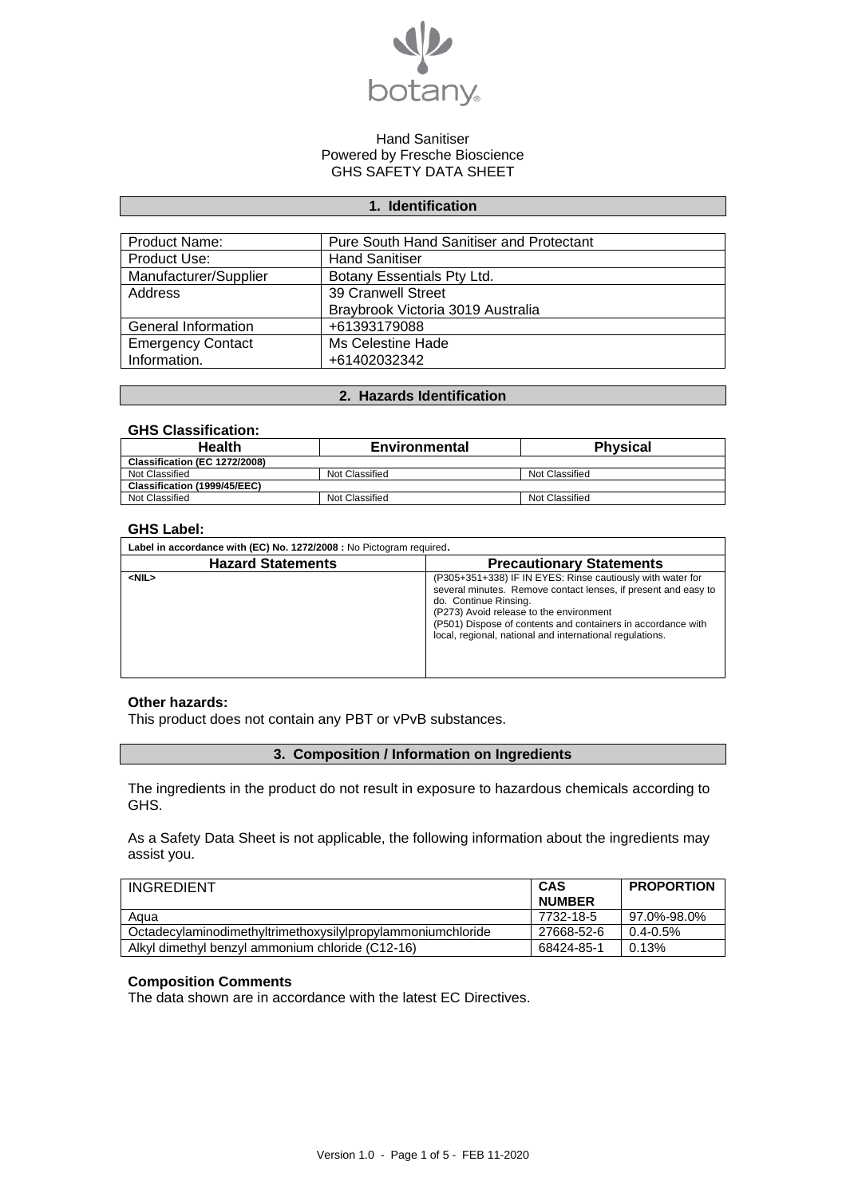

# **1. Identification**

| Product Name:            | <b>Pure South Hand Sanitiser and Protectant</b> |
|--------------------------|-------------------------------------------------|
| Product Use:             | <b>Hand Sanitiser</b>                           |
| Manufacturer/Supplier    | Botany Essentials Pty Ltd.                      |
| Address                  | 39 Cranwell Street                              |
|                          | Braybrook Victoria 3019 Australia               |
| General Information      | +61393179088                                    |
| <b>Emergency Contact</b> | Ms Celestine Hade                               |
| Information.             | +61402032342                                    |

# **2. Hazards Identification**

### **GHS Classification:**

| <b>Health</b>                 | Environmental  | <b>Physical</b> |
|-------------------------------|----------------|-----------------|
| Classification (EC 1272/2008) |                |                 |
| Not Classified                | Not Classified | Not Classified  |
| Classification (1999/45/EEC)  |                |                 |
| Not Classified                | Not Classified | Not Classified  |

#### **GHS Label:**

| Label in accordance with (EC) No. 1272/2008 : No Pictogram required. |                                                                                                                                                                                                                                                                                                                              |  |
|----------------------------------------------------------------------|------------------------------------------------------------------------------------------------------------------------------------------------------------------------------------------------------------------------------------------------------------------------------------------------------------------------------|--|
| <b>Hazard Statements</b>                                             | <b>Precautionary Statements</b>                                                                                                                                                                                                                                                                                              |  |
| $<$ NIL $>$                                                          | (P305+351+338) IF IN EYES: Rinse cautiously with water for<br>several minutes. Remove contact lenses, if present and easy to<br>do. Continue Rinsing.<br>(P273) Avoid release to the environment<br>(P501) Dispose of contents and containers in accordance with<br>local, regional, national and international regulations. |  |

#### **Other hazards:**

This product does not contain any PBT or vPvB substances.

## **3. Composition / Information on Ingredients**

The ingredients in the product do not result in exposure to hazardous chemicals according to GHS.

As a Safety Data Sheet is not applicable, the following information about the ingredients may assist you.

| <b>INGREDIENT</b>                                           | <b>CAS</b>    | <b>PROPORTION</b> |
|-------------------------------------------------------------|---------------|-------------------|
|                                                             | <b>NUMBER</b> |                   |
| Aqua                                                        | 7732-18-5     | 97.0%-98.0%       |
| Octadecylaminodimethyltrimethoxysilylpropylammoniumchloride | 27668-52-6    | $0.4 - 0.5%$      |
| Alkyl dimethyl benzyl ammonium chloride (C12-16)            | 68424-85-1    | 0.13%             |

#### **Composition Comments**

The data shown are in accordance with the latest EC Directives.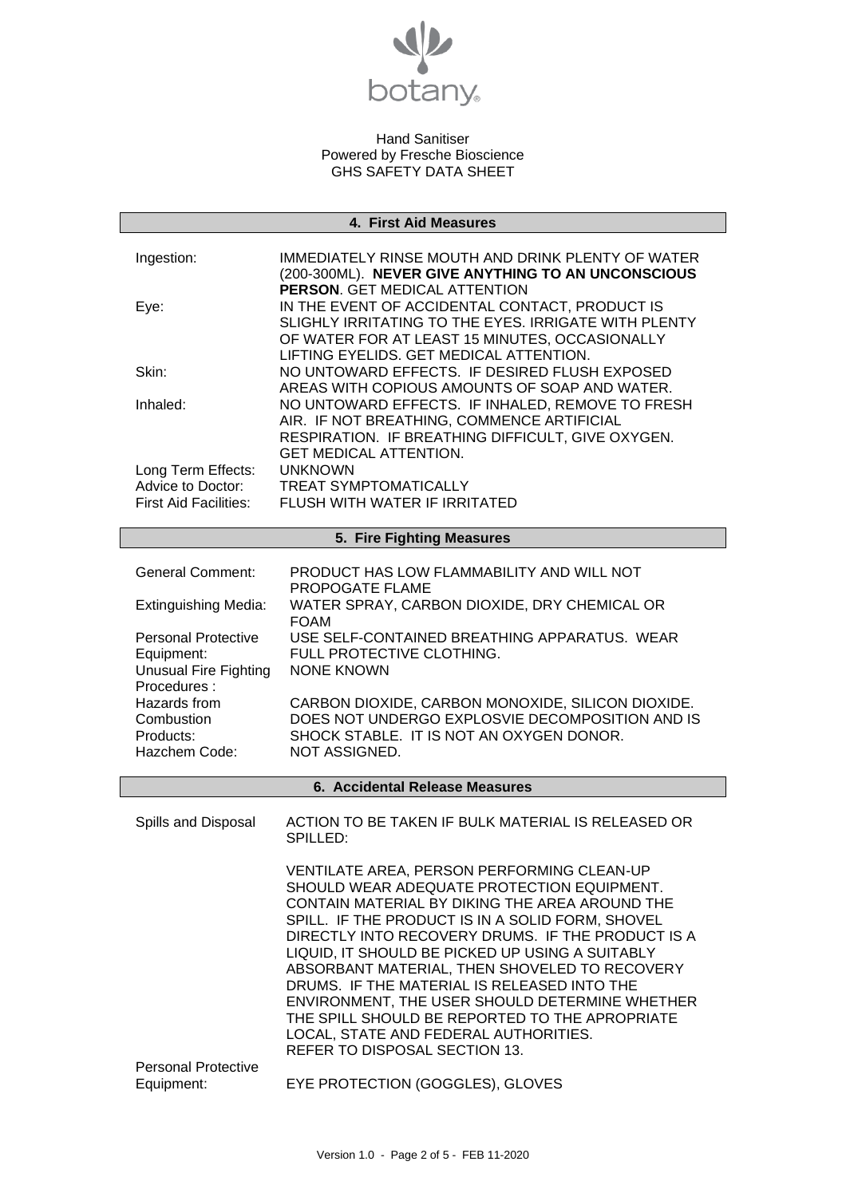

#### **4. First Aid Measures**

| Ingestion:                              | IMMEDIATELY RINSE MOUTH AND DRINK PLENTY OF WATER<br>(200-300ML). NEVER GIVE ANYTHING TO AN UNCONSCIOUS<br>PERSON. GET MEDICAL ATTENTION                 |
|-----------------------------------------|----------------------------------------------------------------------------------------------------------------------------------------------------------|
| Eye:                                    | IN THE EVENT OF ACCIDENTAL CONTACT, PRODUCT IS<br>SLIGHLY IRRITATING TO THE EYES. IRRIGATE WITH PLENTY<br>OF WATER FOR AT LEAST 15 MINUTES, OCCASIONALLY |
|                                         | LIFTING EYELIDS. GET MEDICAL ATTENTION.                                                                                                                  |
| Skin:                                   | NO UNTOWARD EFFECTS. IF DESIRED FLUSH EXPOSED<br>AREAS WITH COPIOUS AMOUNTS OF SOAP AND WATER.                                                           |
| Inhaled:                                | NO UNTOWARD EFFECTS. IF INHALED, REMOVE TO FRESH<br>AIR. IF NOT BREATHING, COMMENCE ARTIFICIAL                                                           |
|                                         | RESPIRATION. IF BREATHING DIFFICULT, GIVE OXYGEN.                                                                                                        |
|                                         | <b>GET MEDICAL ATTENTION.</b>                                                                                                                            |
| Long Term Effects:<br>Advice to Doctor: | <b>UNKNOWN</b><br><b>TREAT SYMPTOMATICALLY</b>                                                                                                           |
| <b>First Aid Facilities:</b>            | FLUSH WITH WATER IF IRRITATED                                                                                                                            |
|                                         |                                                                                                                                                          |
|                                         | 5. Fire Fighting Measures                                                                                                                                |
|                                         |                                                                                                                                                          |
| <b>General Comment:</b>                 | PRODUCT HAS LOW FLAMMABILITY AND WILL NOT<br>PROPOGATE FLAME                                                                                             |
| <b>Extinguishing Media:</b>             | WATER SPRAY, CARBON DIOXIDE, DRY CHEMICAL OR<br><b>FOAM</b>                                                                                              |
| <b>Personal Protective</b>              | USE SELF-CONTAINED BREATHING APPARATUS. WEAR                                                                                                             |
| Equipment:                              | FULL PROTECTIVE CLOTHING.                                                                                                                                |
| <b>Unusual Fire Fighting</b>            | NONE KNOWN                                                                                                                                               |
| Procedures:<br>Hazards from             | CARBON DIOXIDE, CARBON MONOXIDE, SILICON DIOXIDE.                                                                                                        |
| Combustion                              | DOES NOT UNDERGO EXPLOSVIE DECOMPOSITION AND IS                                                                                                          |
| Products:                               | SHOCK STABLE. IT IS NOT AN OXYGEN DONOR.                                                                                                                 |
| Hazchem Code:                           | NOT ASSIGNED.                                                                                                                                            |
|                                         | 6. Accidental Release Measures                                                                                                                           |
|                                         |                                                                                                                                                          |
| Spills and Disposal                     | ACTION TO BE TAKEN IF BULK MATERIAL IS RELEASED OR<br>SPILLED:                                                                                           |
|                                         | VENTILATE AREA, PERSON PERFORMING CLEAN-UP                                                                                                               |
|                                         | SHOULD WEAR ADEQUATE PROTECTION EQUIPMENT.                                                                                                               |
|                                         | CONTAIN MATERIAL BY DIKING THE AREA AROUND THE                                                                                                           |
|                                         | SPILL. IF THE PRODUCT IS IN A SOLID FORM, SHOVEL<br>DIRECTLY INTO RECOVERY DRUMS. IF THE PRODUCT IS A                                                    |
|                                         | LIQUID, IT SHOULD BE PICKED UP USING A SUITABLY                                                                                                          |
|                                         | ABSORBANT MATERIAL, THEN SHOVELED TO RECOVERY                                                                                                            |

ENVIRONMENT, THE USER SHOULD DETERMINE WHETHER THE SPILL SHOULD BE REPORTED TO THE APROPRIATE LOCAL, STATE AND FEDERAL AUTHORITIES. REFER TO DISPOSAL SECTION 13. Personal Protective<br>Equipment: EYE PROTECTION (GOGGLES), GLOVES

DRUMS. IF THE MATERIAL IS RELEASED INTO THE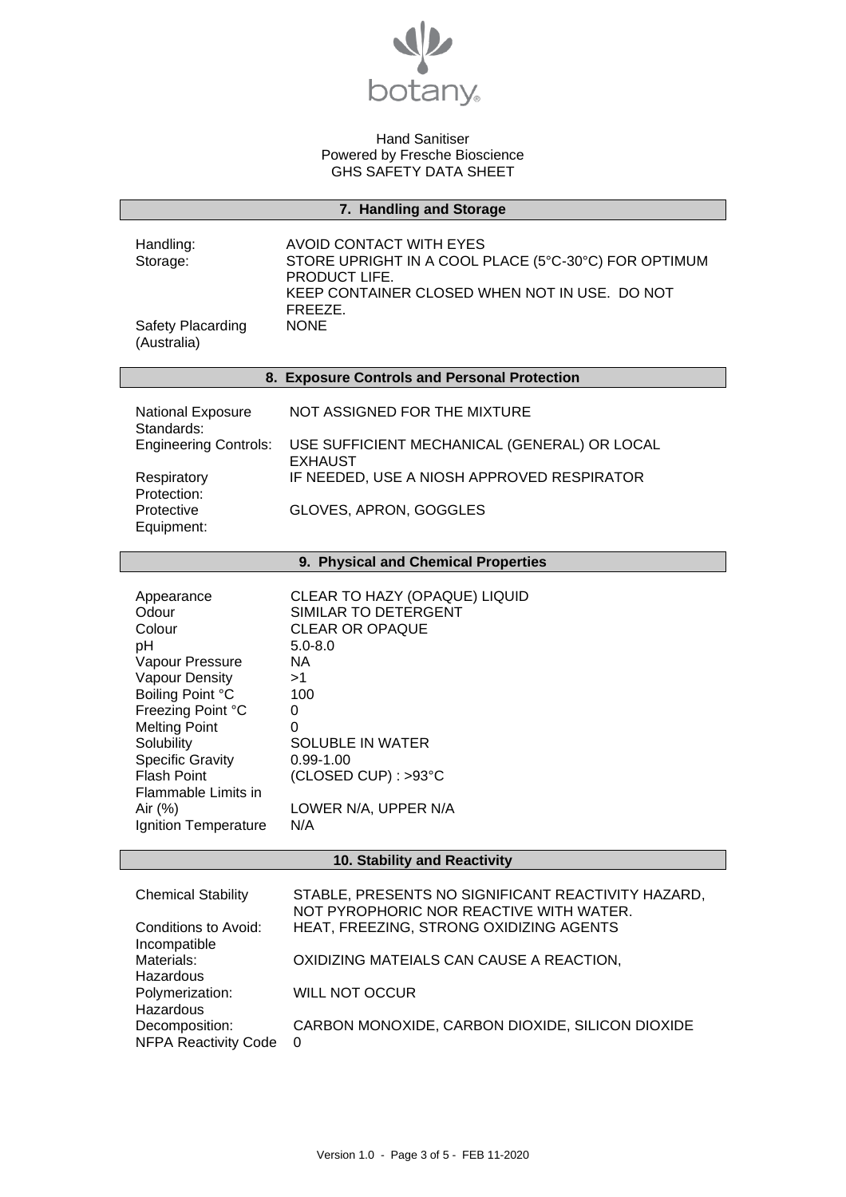

# **7. Handling and Storage**

| Handling:                        | AVOID CONTACT WITH EYES                                               |
|----------------------------------|-----------------------------------------------------------------------|
| Storage:                         | STORE UPRIGHT IN A COOL PLACE (5°C-30°C) FOR OPTIMUM<br>PRODUCT LIFE. |
|                                  | KEEP CONTAINER CLOSED WHEN NOT IN USE. DO NOT<br>FREEZE.              |
| Safety Placarding<br>(Australia) | <b>NONE</b>                                                           |

# **8. Exposure Controls and Personal Protection**

| <b>National Exposure</b><br>Standards: | NOT ASSIGNED FOR THE MIXTURE                                   |
|----------------------------------------|----------------------------------------------------------------|
| <b>Engineering Controls:</b>           | USE SUFFICIENT MECHANICAL (GENERAL) OR LOCAL<br><b>EXHAUST</b> |
| Respiratory<br>Protection:             | IF NEEDED, USE A NIOSH APPROVED RESPIRATOR                     |
| Protective<br>Equipment:               | GLOVES, APRON, GOGGLES                                         |

# **9. Physical and Chemical Properties**

| Appearance              | CLEAR TO HAZY (OPAQUE) LIQUID |
|-------------------------|-------------------------------|
| Odour                   | SIMILAR TO DETERGENT          |
| Colour                  | <b>CLEAR OR OPAQUE</b>        |
| рH                      | $5.0 - 8.0$                   |
| Vapour Pressure         | ΝA                            |
| <b>Vapour Density</b>   | >1                            |
| Boiling Point °C        | 100                           |
| Freezing Point °C       | 0                             |
| <b>Melting Point</b>    | 0                             |
| Solubility              | <b>SOLUBLE IN WATER</b>       |
| <b>Specific Gravity</b> | $0.99 - 1.00$                 |
| <b>Flash Point</b>      | (CLOSED CUP): >93°C           |
| Flammable Limits in     |                               |
| Air $(\%)$              | LOWER N/A, UPPER N/A          |
| Ignition Temperature    | N/A                           |

# **10. Stability and Reactivity**

| <b>Chemical Stability</b>   | STABLE, PRESENTS NO SIGNIFICANT REACTIVITY HAZARD,<br>NOT PYROPHORIC NOR REACTIVE WITH WATER. |
|-----------------------------|-----------------------------------------------------------------------------------------------|
| Conditions to Avoid:        | HEAT, FREEZING, STRONG OXIDIZING AGENTS                                                       |
| Incompatible                |                                                                                               |
| Materials:                  | OXIDIZING MATEIALS CAN CAUSE A REACTION,                                                      |
| Hazardous                   |                                                                                               |
| Polymerization:             | <b>WILL NOT OCCUR</b>                                                                         |
| Hazardous                   |                                                                                               |
| Decomposition:              | CARBON MONOXIDE, CARBON DIOXIDE, SILICON DIOXIDE                                              |
| <b>NFPA Reactivity Code</b> | $\Omega$                                                                                      |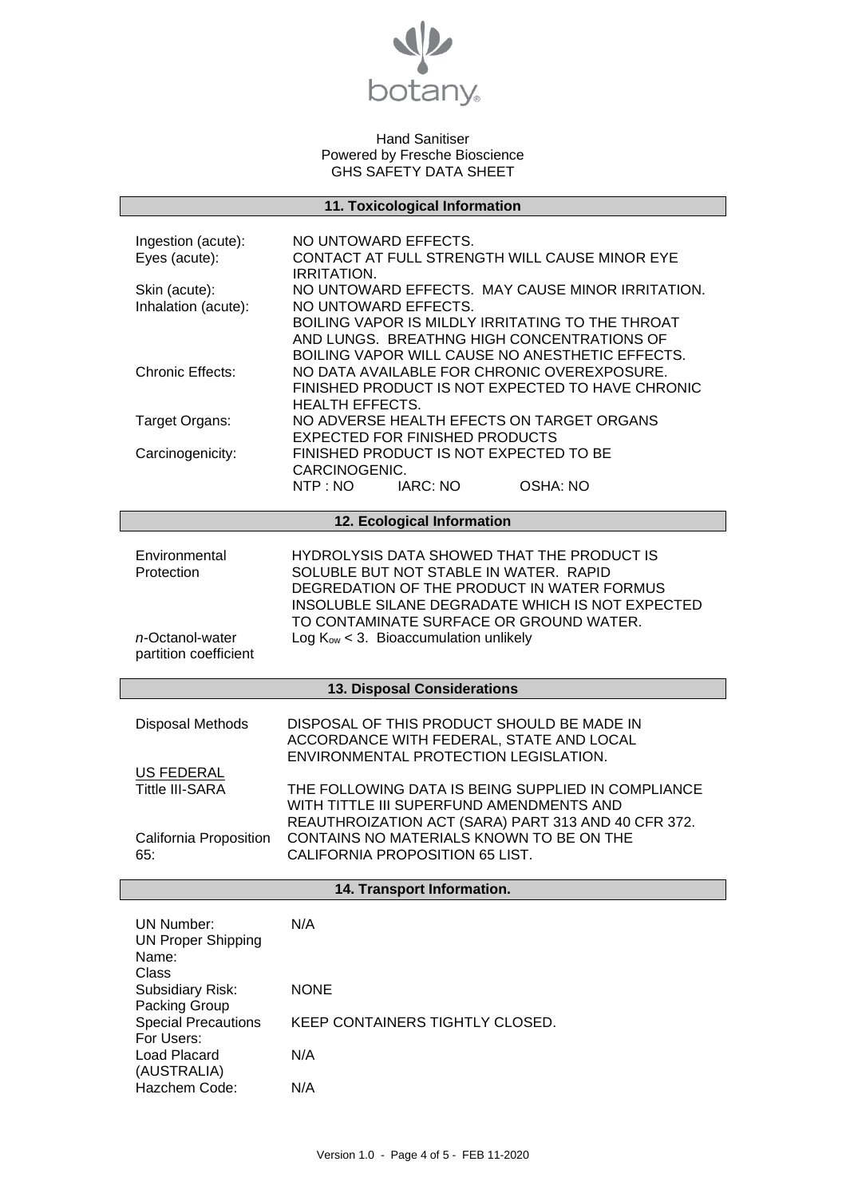

| 11. Toxicological Information                                           |                                                                                                                                                                                        |  |
|-------------------------------------------------------------------------|----------------------------------------------------------------------------------------------------------------------------------------------------------------------------------------|--|
| Ingestion (acute):<br>Eyes (acute):<br>Skin (acute):                    | NO UNTOWARD EFFECTS.<br>CONTACT AT FULL STRENGTH WILL CAUSE MINOR EYE<br><b>IRRITATION.</b><br>NO UNTOWARD EFFECTS. MAY CAUSE MINOR IRRITATION.                                        |  |
| Inhalation (acute):                                                     | NO UNTOWARD EFFECTS.<br>BOILING VAPOR IS MILDLY IRRITATING TO THE THROAT<br>AND LUNGS. BREATHNG HIGH CONCENTRATIONS OF<br>BOILING VAPOR WILL CAUSE NO ANESTHETIC EFFECTS.              |  |
| <b>Chronic Effects:</b>                                                 | NO DATA AVAILABLE FOR CHRONIC OVEREXPOSURE.<br>FINISHED PRODUCT IS NOT EXPECTED TO HAVE CHRONIC<br><b>HEALTH EFFECTS.</b>                                                              |  |
| Target Organs:                                                          | NO ADVERSE HEALTH EFECTS ON TARGET ORGANS<br><b>EXPECTED FOR FINISHED PRODUCTS</b>                                                                                                     |  |
| Carcinogenicity:                                                        | FINISHED PRODUCT IS NOT EXPECTED TO BE<br>CARCINOGENIC.                                                                                                                                |  |
|                                                                         | NTP: NO<br>IARC: NO<br>OSHA: NO                                                                                                                                                        |  |
|                                                                         | 12. Ecological Information                                                                                                                                                             |  |
| Environmental<br>Protection                                             | HYDROLYSIS DATA SHOWED THAT THE PRODUCT IS<br>SOLUBLE BUT NOT STABLE IN WATER. RAPID<br>DEGREDATION OF THE PRODUCT IN WATER FORMUS<br>INSOLUBLE SILANE DEGRADATE WHICH IS NOT EXPECTED |  |
| n-Octanol-water<br>partition coefficient                                | TO CONTAMINATE SURFACE OR GROUND WATER.<br>Log $K_{ow}$ < 3. Bioaccumulation unlikely                                                                                                  |  |
|                                                                         | 13. Disposal Considerations                                                                                                                                                            |  |
| Disposal Methods                                                        | DISPOSAL OF THIS PRODUCT SHOULD BE MADE IN<br>ACCORDANCE WITH FEDERAL, STATE AND LOCAL<br>ENVIRONMENTAL PROTECTION LEGISLATION.                                                        |  |
| <b>US FEDERAL</b><br><b>Tittle III-SARA</b>                             | THE FOLLOWING DATA IS BEING SUPPLIED IN COMPLIANCE<br>WITH TITTLE III SUPERFUND AMENDMENTS AND<br>REAUTHROIZATION ACT (SARA) PART 313 AND 40 CFR 372.                                  |  |
| California Proposition<br>65:                                           | CONTAINS NO MATERIALS KNOWN TO BE ON THE<br>CALIFORNIA PROPOSITION 65 LIST.                                                                                                            |  |
| 14. Transport Information.                                              |                                                                                                                                                                                        |  |
| <b>UN Number:</b><br><b>UN Proper Shipping</b><br>Name:<br><b>Class</b> | N/A                                                                                                                                                                                    |  |
| Subsidiary Risk:<br>Packing Group                                       | <b>NONE</b>                                                                                                                                                                            |  |
| <b>Special Precautions</b><br>For Users:                                | KEEP CONTAINERS TIGHTLY CLOSED.                                                                                                                                                        |  |
| <b>Load Placard</b><br>(AUSTRALIA)<br>Hazchem Code:                     | N/A<br>N/A                                                                                                                                                                             |  |